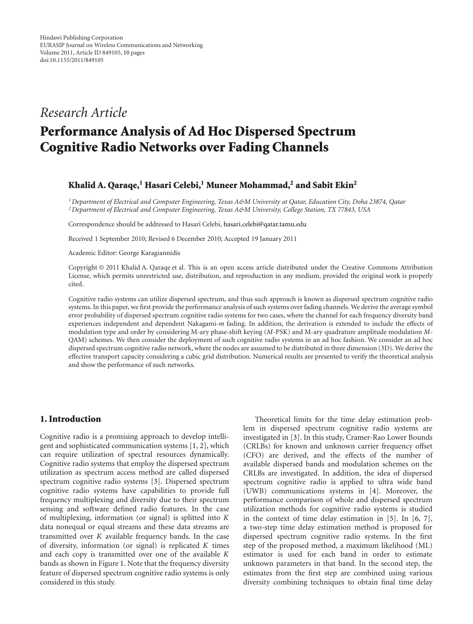# *Research Article*

# **Performance Analysis of Ad Hoc Dispersed Spectrum Cognitive Radio Networks over Fading Channels**

# **Khalid A. Qaraqe,1 Hasari Celebi,1 Muneer Mohammad,2 and Sabit Ekin2**

*1Department of Electrical and Computer Engineering, Texas A&M University at Qatar, Education City, Doha 23874, Qatar 2Department of Electrical and Computer Engineering, Texas A&M University, College Station, TX 77843, USA*

Correspondence should be addressed to Hasari Celebi, hasari.celebi@qatar.tamu.edu

Received 1 September 2010; Revised 6 December 2010; Accepted 19 January 2011

Academic Editor: George Karagiannidis

Copyright © 2011 Khalid A. Qaraqe et al. This is an open access article distributed under the Creative Commons Attribution License, which permits unrestricted use, distribution, and reproduction in any medium, provided the original work is properly cited.

Cognitive radio systems can utilize dispersed spectrum, and thus such approach is known as dispersed spectrum cognitive radio systems. In this paper, we first provide the performance analysis of such systems over fading channels. We derive the average symbol error probability of dispersed spectrum cognitive radio systems for two cases, where the channel for each frequency diversity band experiences independent and dependent Nakagami-*m* fading. In addition, the derivation is extended to include the effects of modulation type and order by considering M-ary phase-shift keying (*M*-PSK) and M-ary quadrature amplitude modulation *M*-QAM) schemes. We then consider the deployment of such cognitive radio systems in an ad hoc fashion. We consider an ad hoc dispersed spectrum cognitive radio network, where the nodes are assumed to be distributed in three dimension (3D). We derive the effective transport capacity considering a cubic grid distribution. Numerical results are presented to verify the theoretical analysis and show the performance of such networks.

# **1. Introduction**

Cognitive radio is a promising approach to develop intelligent and sophisticated communication systems [1, 2], which can require utilization of spectral resources dynamically. Cognitive radio systems that employ the dispersed spectrum utilization as spectrum access method are called dispersed spectrum cognitive radio systems [3]. Dispersed spectrum cognitive radio systems have capabilities to provide full frequency multiplexing and diversity due to their spectrum sensing and software defined radio features. In the case of multiplexing, information (or signal) is splitted into *K* data nonequal or equal streams and these data streams are transmitted over *K* available frequency bands. In the case of diversity, information (or signal) is replicated *K* times and each copy is transmitted over one of the available *K* bands as shown in Figure 1. Note that the frequency diversity feature of dispersed spectrum cognitive radio systems is only considered in this study.

Theoretical limits for the time delay estimation problem in dispersed spectrum cognitive radio systems are investigated in [3]. In this study, Cramer-Rao Lower Bounds (CRLBs) for known and unknown carrier frequency offset (CFO) are derived, and the effects of the number of available dispersed bands and modulation schemes on the CRLBs are investigated. In addition, the idea of dispersed spectrum cognitive radio is applied to ultra wide band (UWB) communications systems in [4]. Moreover, the performance comparison of whole and dispersed spectrum utilization methods for cognitive radio systems is studied in the context of time delay estimation in [5]. In [6, 7], a two-step time delay estimation method is proposed for dispersed spectrum cognitive radio systems. In the first step of the proposed method, a maximum likelihood (ML) estimator is used for each band in order to estimate unknown parameters in that band. In the second step, the estimates from the first step are combined using various diversity combining techniques to obtain final time delay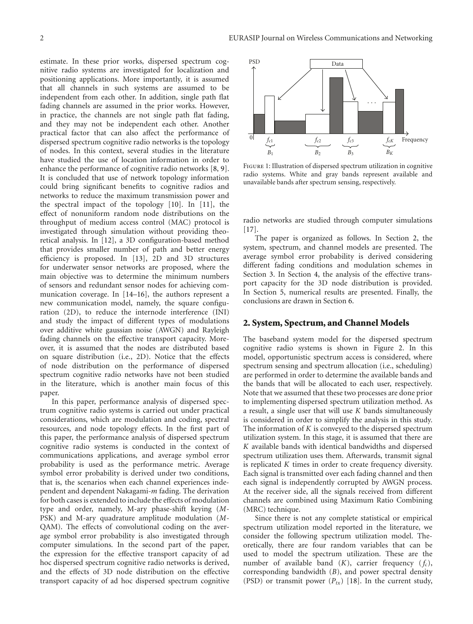estimate. In these prior works, dispersed spectrum cognitive radio systems are investigated for localization and positioning applications. More importantly, it is assumed that all channels in such systems are assumed to be independent from each other. In addition, single path flat fading channels are assumed in the prior works. However, in practice, the channels are not single path flat fading, and they may not be independent each other. Another practical factor that can also affect the performance of dispersed spectrum cognitive radio networks is the topology of nodes. In this context, several studies in the literature have studied the use of location information in order to enhance the performance of cognitive radio networks [8, 9]. It is concluded that use of network topology information could bring significant benefits to cognitive radios and networks to reduce the maximum transmission power and the spectral impact of the topology [10]. In [11], the effect of nonuniform random node distributions on the throughput of medium access control (MAC) protocol is investigated through simulation without providing theoretical analysis. In [12], a 3D configuration-based method that provides smaller number of path and better energy efficiency is proposed. In [13], 2D and 3D structures for underwater sensor networks are proposed, where the main objective was to determine the minimum numbers of sensors and redundant sensor nodes for achieving communication coverage. In [14–16], the authors represent a new communication model, namely, the square configuration (2D), to reduce the internode interference (INI) and study the impact of different types of modulations over additive white gaussian noise (AWGN) and Rayleigh fading channels on the effective transport capacity. Moreover, it is assumed that the nodes are distributed based on square distribution (i.e., 2D). Notice that the effects of node distribution on the performance of dispersed spectrum cognitive radio networks have not been studied in the literature, which is another main focus of this paper.

In this paper, performance analysis of dispersed spectrum cognitive radio systems is carried out under practical considerations, which are modulation and coding, spectral resources, and node topology effects. In the first part of this paper, the performance analysis of dispersed spectrum cognitive radio systems is conducted in the context of communications applications, and average symbol error probability is used as the performance metric. Average symbol error probability is derived under two conditions, that is, the scenarios when each channel experiences independent and dependent Nakagami-*m* fading. The derivation for both cases is extended to include the effects of modulation type and order, namely, M-ary phase-shift keying (*M*-PSK) and M-ary quadrature amplitude modulation (*M*-QAM). The effects of convolutional coding on the average symbol error probability is also investigated through computer simulations. In the second part of the paper, the expression for the effective transport capacity of ad hoc dispersed spectrum cognitive radio networks is derived, and the effects of 3D node distribution on the effective transport capacity of ad hoc dispersed spectrum cognitive



Figure 1: Illustration of dispersed spectrum utilization in cognitive radio systems. White and gray bands represent available and unavailable bands after spectrum sensing, respectively.

radio networks are studied through computer simulations [17].

The paper is organized as follows. In Section 2, the system, spectrum, and channel models are presented. The average symbol error probability is derived considering different fading conditions and modulation schemes in Section 3. In Section 4, the analysis of the effective transport capacity for the 3D node distribution is provided. In Section 5, numerical results are presented. Finally, the conclusions are drawn in Section 6.

# **2. System, Spectrum, and Channel Models**

The baseband system model for the dispersed spectrum cognitive radio systems is shown in Figure 2. In this model, opportunistic spectrum access is considered, where spectrum sensing and spectrum allocation (i.e., scheduling) are performed in order to determine the available bands and the bands that will be allocated to each user, respectively. Note that we assumed that these two processes are done prior to implementing dispersed spectrum utilization method. As a result, a single user that will use *K* bands simultaneously is considered in order to simplify the analysis in this study. The information of *K* is conveyed to the dispersed spectrum utilization system. In this stage, it is assumed that there are *K* available bands with identical bandwidths and dispersed spectrum utilization uses them. Afterwards, transmit signal is replicated *K* times in order to create frequency diversity. Each signal is transmitted over each fading channel and then each signal is independently corrupted by AWGN process. At the receiver side, all the signals received from different channels are combined using Maximum Ratio Combining (MRC) technique.

Since there is not any complete statistical or empirical spectrum utilization model reported in the literature, we consider the following spectrum utilization model. Theoretically, there are four random variables that can be used to model the spectrum utilization. These are the number of available band  $(K)$ , carrier frequency  $(f_c)$ , corresponding bandwidth (*B*), and power spectral density (PSD) or transmit power  $(P_{tx})$  [18]. In the current study,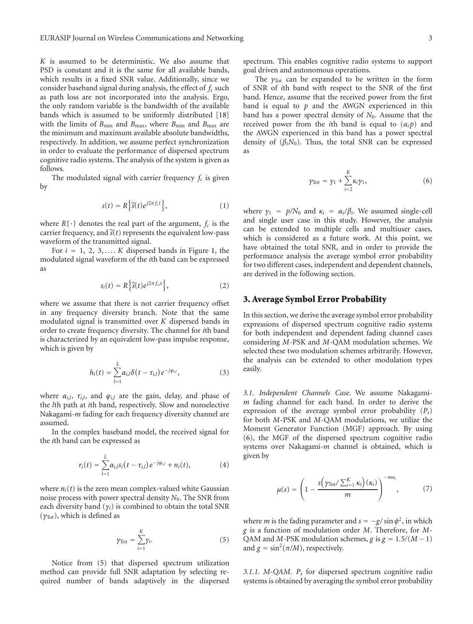*K* is assumed to be deterministic. We also assume that PSD is constant and it is the same for all available bands, which results in a fixed SNR value. Additionally, since we consider baseband signal during analysis, the effect of  $f_c$  such as path loss are not incorporated into the analysis. Ergo, the only random variable is the bandwidth of the available bands which is assumed to be uniformly distributed [18] with the limits of  $B_{\text{min}}$  and  $B_{\text{max}}$ , where  $B_{\text{min}}$  and  $B_{\text{max}}$  are the minimum and maximum available absolute bandwidths, respectively. In addition, we assume perfect synchronization in order to evaluate the performance of dispersed spectrum cognitive radio systems. The analysis of the system is given as follows.

The modulated signal with carrier frequency  $f_c$  is given by

$$
s(t) = R\left\{\tilde{s}(t)e^{j2\pi f_c t}\right\},\tag{1}
$$

where  $R\{\cdot\}$  denotes the real part of the argument,  $f_c$  is the carrier frequency, and  $\tilde{s}(t)$  represents the equivalent low-pass waveform of the transmitted signal.

For  $i = 1, 2, 3, \ldots$  *K* dispersed bands in Figure 1, the modulated signal waveform of the *i*th band can be expressed as

$$
s_i(t) = R\left\{\tilde{s}(t)e^{j2\pi f_{ci}t}\right\},\tag{2}
$$

where we assume that there is not carrier frequency offset in any frequency diversity branch. Note that the same modulated signal is transmitted over *K* dispersed bands in order to create frequency diversity. The channel for *i*th band is characterized by an equivalent low-pass impulse response, which is given by

*L*

$$
h_i(t) = \sum_{l=1}^{L} \alpha_{i,l} \delta(t - \tau_{i,l}) e^{-j\varphi_{i,l}}, \qquad (3)
$$

where  $\alpha_{i,l}$ ,  $\tau_{i,l}$ , and  $\varphi_{i,l}$  are the gain, delay, and phase of the *l*th path at *i*th band, respectively. Slow and nonselective Nakagami-*m* fading for each frequency diversity channel are assumed.

In the complex baseband model, the received signal for the *i*th band can be expressed as

$$
r_i(t) = \sum_{l=1}^{L} \alpha_{i,l} s_i(t - \tau_{i,l}) e^{-j\varphi_{i,l}} + n_i(t), \qquad (4)
$$

where  $n_i(t)$  is the zero mean complex-valued white Gaussian noise process with power spectral density *N*0. The SNR from each diversity band (*γi*) is combined to obtain the total SNR  $(\gamma_{\text{Tot}})$ , which is defined as

$$
\gamma_{\text{Tot}} = \sum_{i=1}^{K} \gamma_i. \tag{5}
$$

Notice from (5) that dispersed spectrum utilization method can provide full SNR adaptation by selecting required number of bands adaptively in the dispersed

The  $\gamma_{\text{Tot}}$  can be expanded to be written in the form of SNR of *i*th band with respect to the SNR of the first band. Hence, assume that the received power from the first band is equal to  $p$  and the AWGN experienced in this band has a power spectral density of *N*0. Assume that the received power from the *i*th band is equal to  $(\alpha_i p)$  and the AWGN experienced in this band has a power spectral density of  $(\beta_i N_0)$ . Thus, the total SNR can be expressed as

$$
\gamma_{\text{Tot}} = \gamma_1 + \sum_{i=2}^{K} \kappa_i \gamma_1,\tag{6}
$$

where  $\gamma_1 = p/N_0$  and  $\kappa_i = \alpha_i/\beta_i$ . We assumed single-cell and single user case in this study. However, the analysis can be extended to multiple cells and multiuser cases, which is considered as a future work. At this point, we have obtained the total SNR, and in order to provide the performance analysis the average symbol error probability for two different cases, independent and dependent channels, are derived in the following section.

# **3. Average Symbol Error Probability**

In this section, we derive the average symbol error probability expressions of dispersed spectrum cognitive radio systems for both independent and dependent fading channel cases considering *M*-PSK and *M*-QAM modulation schemes. We selected these two modulation schemes arbitrarily. However, the analysis can be extended to other modulation types easily.

*3.1. Independent Channels Case.* We assume Nakagami*m* fading channel for each band. In order to derive the expression of the average symbol error probability (*Ps*) for both *M*-PSK and *M*-QAM modulations, we utilize the Moment Generator Function (MGF) approach. By using (6), the MGF of the dispersed spectrum cognitive radio systems over Nakagami-*m* channel is obtained, which is given by

$$
\mu(s) = \left(1 - \frac{s\left(\gamma_{\text{Tot}}/\sum_{i=1}^{K}\kappa_i\right)(\kappa_i)}{m}\right)^{-m\kappa_i},\tag{7}
$$

where *m* is the fading parameter and  $s = -g/\sin \phi^2$ , in which *g* is a function of modulation order *M*. Therefore, for *M*-QAM and *M*-PSK modulation schemes, *g* is  $g = 1.5/(M - 1)$ and  $g = \sin^2(\pi/M)$ , respectively.

*3.1.1. M-QAM. Ps* for dispersed spectrum cognitive radio systems is obtained by averaging the symbol error probability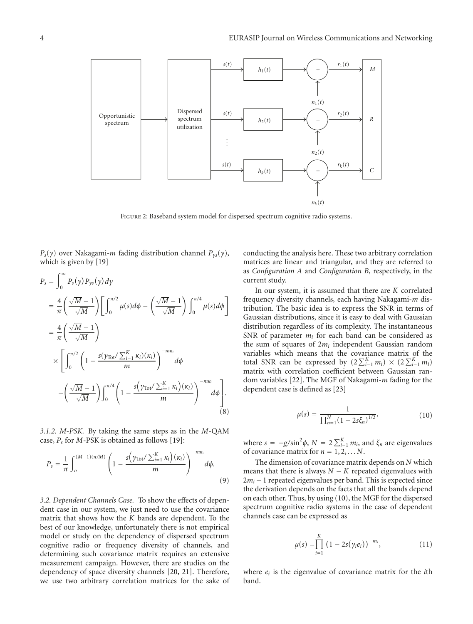

FIGURE 2: Baseband system model for dispersed spectrum cognitive radio systems.

*Ps*(*γ*) over Nakagami-*m* fading distribution channel *Pγs*(*γ*), which is given by [19]

$$
P_s = \int_0^\infty P_s(\gamma) P_{\gamma s}(\gamma) d\gamma
$$
  
\n
$$
= \frac{4}{\pi} \left( \frac{\sqrt{M} - 1}{\sqrt{M}} \right) \left[ \int_0^{\pi/2} \mu(s) d\phi - \left( \frac{\sqrt{M} - 1}{\sqrt{M}} \right) \int_0^{\pi/4} \mu(s) d\phi \right]
$$
  
\n
$$
= \frac{4}{\pi} \left( \frac{\sqrt{M} - 1}{\sqrt{M}} \right)
$$
  
\n
$$
\times \left[ \int_0^{\pi/2} \left( 1 - \frac{s(\gamma_{\text{Tot}} / \sum_{i=1}^K \kappa_i)(\kappa_i)}{m} \right)^{-m\kappa_i} d\phi \right]
$$
  
\n
$$
- \left( \frac{\sqrt{M} - 1}{\sqrt{M}} \right) \int_0^{\pi/4} \left( 1 - \frac{s(\gamma_{\text{Tot}} / \sum_{i=1}^K \kappa_i)(\kappa_i)}{m} \right)^{-m\kappa_i} d\phi \right].
$$
  
\n(8)

*3.1.2. M-PSK.* By taking the same steps as in the *M*-QAM case, *Ps* for *M*-PSK is obtained as follows [19]:

$$
P_s = \frac{1}{\pi} \int_0^{(M-1)(\pi/M)} \left(1 - \frac{s\left(\gamma_{\text{Tot}}/\sum_{i=1}^K \kappa_i\right)(\kappa_i)}{m}\right)^{-m\kappa_i} d\phi. \tag{9}
$$

*3.2. Dependent Channels Case.* To show the effects of dependent case in our system, we just need to use the covariance matrix that shows how the *K* bands are dependent. To the best of our knowledge, unfortunately there is not empirical model or study on the dependency of dispersed spectrum cognitive radio or frequency diversity of channels, and determining such covariance matrix requires an extensive measurement campaign. However, there are studies on the dependency of space diversity channels [20, 21]. Therefore, we use two arbitrary correlation matrices for the sake of conducting the analysis here. These two arbitrary correlation matrices are linear and triangular, and they are referred to as *Configuration A* and *Configuration B*, respectively, in the current study.

In our system, it is assumed that there are *K* correlated frequency diversity channels, each having Nakagami-*m* distribution. The basic idea is to express the SNR in terms of Gaussian distributions, since it is easy to deal with Gaussian distribution regardless of its complexity. The instantaneous SNR of parameter  $m_i$  for each band can be considered as the sum of squares of 2*mi* independent Gaussian random variables which means that the covariance matrix of the total SNR can be expressed by  $(2 \sum_{i=1}^{K} m_i) \times (2 \sum_{i=1}^{K} m_i)$ matrix with correlation coefficient between Gaussian random variables [22]. The MGF of Nakagami-*m* fading for the dependent case is defined as [23]

$$
\mu(s) = \frac{1}{\prod_{n=1}^{N} (1 - 2s\xi_n)^{1/2}},
$$
\n(10)

where  $s = -g/\sin^2\phi$ ,  $N = 2\sum_{i=1}^{K} m_i$ , and  $\xi_n$  are eigenvalues of covariance matrix for  $n = 1, 2, \ldots N$ .

The dimension of covariance matrix depends on *N* which means that there is always  $N - K$  repeated eigenvalues with 2*mi* −1 repeated eigenvalues per band. This is expected since the derivation depends on the facts that all the bands depend on each other. Thus, by using (10), the MGF for the dispersed spectrum cognitive radio systems in the case of dependent channels case can be expressed as

$$
\mu(s) = \prod_{i=1}^{K} (1 - 2s(\gamma_i e_i))^{-m_i}, \qquad (11)
$$

where *ei* is the eigenvalue of covariance matrix for the *i*th band.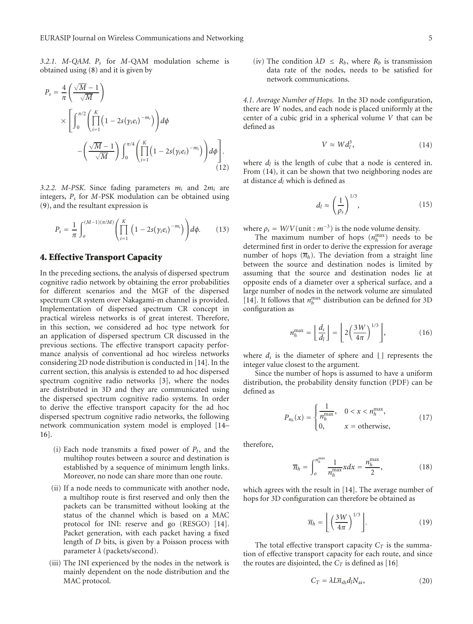*3.2.1. M-QAM. Ps* for *M*-QAM modulation scheme is obtained using (8) and it is given by

$$
P_s = \frac{4}{\pi} \left( \frac{\sqrt{M} - 1}{\sqrt{M}} \right)
$$
  
 
$$
\times \left[ \int_0^{\pi/2} \left( \prod_{i=1}^K \left( 1 - 2s(\gamma_i e_i)^{-m_i} \right) \right) d\phi \right.
$$
  
 
$$
- \left( \frac{\sqrt{M} - 1}{\sqrt{M}} \right) \int_0^{\pi/4} \left( \prod_{i=1}^K \left( 1 - 2s(\gamma_i e_i)^{-m_i} \right) \right) d\phi \right].
$$
  
(12)

*3.2.2. M-PSK.* Since fading parameters *mi* and 2*mi* are integers, *Ps* for *M*-PSK modulation can be obtained using (9), and the resultant expression is

$$
P_s = \frac{1}{\pi} \int_0^{(M-1)(\pi/M)} \left( \prod_{i=1}^K \left( 1 - 2s(\gamma_i e_i)^{-m_i} \right) \right) d\phi. \tag{13}
$$

#### **4. Effective Transport Capacity**

In the preceding sections, the analysis of dispersed spectrum cognitive radio network by obtaining the error probabilities for different scenarios and the MGF of the dispersed spectrum CR system over Nakagami-m channel is provided. Implementation of dispersed spectrum CR concept in practical wireless networks is of great interest. Therefore, in this section, we considered ad hoc type network for an application of dispersed spectrum CR discussed in the previous sections. The effective transport capacity performance analysis of conventional ad hoc wireless networks considering 2D node distribution is conducted in [14]. In the current section, this analysis is extended to ad hoc dispersed spectrum cognitive radio networks [3], where the nodes are distributed in 3D and they are communicated using the dispersed spectrum cognitive radio systems. In order to derive the effective transport capacity for the ad hoc dispersed spectrum cognitive radio networks, the following network communication system model is employed [14– 16].

- (i) Each node transmits a fixed power of  $P_t$ , and the multihop routes between a source and destination is established by a sequence of minimum length links. Moreover, no node can share more than one route.
- (ii) If a node needs to communicate with another node, a multihop route is first reserved and only then the packets can be transmitted without looking at the status of the channel which is based on a MAC protocol for INI: reserve and go (RESGO) [14]. Packet generation, with each packet having a fixed length of *D* bits, is given by a Poisson process with parameter *λ* (packets/second).
- (iii) The INI experienced by the nodes in the network is mainly dependent on the node distribution and the MAC protocol.

(iv) The condition  $\lambda D \leq R_b$ , where  $R_b$  is transmission data rate of the nodes, needs to be satisfied for network communications.

*4.1. Average Number of Hops.* In the 3D node configuration, there are *W* nodes, and each node is placed uniformly at the center of a cubic grid in a spherical volume *V* that can be defined as

$$
V \approx W d_l^3, \tag{14}
$$

where  $d_l$  is the length of cube that a node is centered in. From (14), it can be shown that two neighboring nodes are at distance *dl* which is defined as

$$
d_l \approx \left(\frac{1}{\rho_s}\right)^{1/3},\tag{15}
$$

where  $\rho_s = W/V$ (unit :  $m^{-3}$ ) is the node volume density.

The maximum number of hops  $(n_h^{\text{max}})$  needs to be determined first in order to derive the expression for average number of hops  $(\overline{n}_h)$ . The deviation from a straight line between the source and destination nodes is limited by assuming that the source and destination nodes lie at opposite ends of a diameter over a spherical surface, and a large number of nodes in the network volume are simulated [14]. It follows that  $n_h^{\text{max}}$  distribution can be defined for 3D configuration as

$$
n_h^{\max} = \left\lfloor \frac{d_s}{d_l} \right\rfloor = \left\lfloor 2 \left( \frac{3W}{4\pi} \right)^{1/3} \right\rfloor, \tag{16}
$$

where  $d_s$  is the diameter of sphere and  $\lfloor \cdot \rfloor$  represents the integer value closest to the argument.

Since the number of hops is assumed to have a uniform distribution, the probability density function (PDF) can be defined as

$$
P_{n_h}(x) = \begin{cases} \frac{1}{n_h^{\max}}, & 0 < x < n_h^{\max}, \\ 0, & x = \text{otherwise}, \end{cases} \tag{17}
$$

therefore,

$$
\overline{n}_h = \int_0^{n_h^{\max}} \frac{1}{n_h^{\max}} x dx = \frac{n_h^{\max}}{2},\tag{18}
$$

which agrees with the result in [14]. The average number of hops for 3D configuration can therefore be obtained as

$$
\overline{n}_h = \left[ \left( \frac{3W}{4\pi} \right)^{1/3} \right]. \tag{19}
$$

The total effective transport capacity  $C_T$  is the summation of effective transport capacity for each route, and since the routes are disjointed, the  $C_T$  is defined as [16]

$$
C_T = \lambda L \overline{n}_{\rm sh} d_l N_{\rm ar},\tag{20}
$$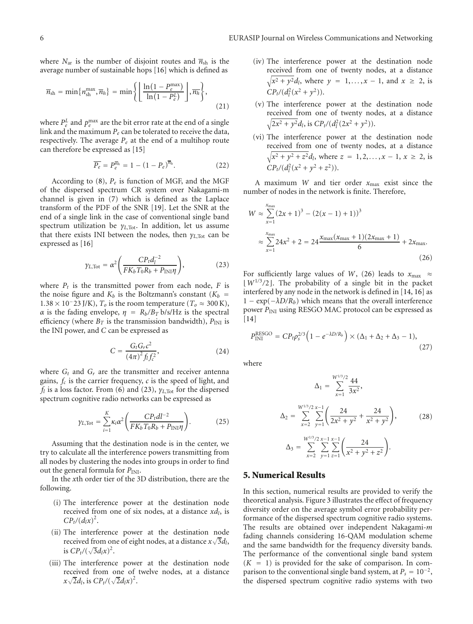where  $N_{\text{ar}}$  is the number of disjoint routes and  $\overline{n}_{\text{sh}}$  is the average number of sustainable hops [16] which is defined as

$$
\overline{n}_{\rm sh} = \min\{n_{\rm sh}^{\rm max}, \overline{n}_h\} = \min\left\{ \left\lfloor \frac{\ln\left(1 - P_e^{\rm max}\right)}{\ln\left(1 - P_e^L\right)} \right\rfloor, \overline{n}_h \right\},\tag{21}
$$

where  $P_e^L$  and  $p_e^{\text{max}}$  are the bit error rate at the end of a single link and the maximum *Pe* can be tolerated to receive the data, respectively. The average  $P_e$  at the end of a multihop route can therefore be expressed as [15]

$$
\overline{P_e} = P_e^{\overline{n}_h} = 1 - (1 - P_e)^{\overline{n}_h}.
$$
 (22)

According to (8), *Pe* is function of MGF, and the MGF of the dispersed spectrum CR system over Nakagami-m channel is given in (7) which is defined as the Laplace transform of the PDF of the SNR [19]. Let the SNR at the end of a single link in the case of conventional single band spectrum utilization be *γ<sub>L*,Tot</sub>. In addition, let us assume that there exists INI between the nodes, then *γL*,Tot can be expressed as [16]

$$
\gamma_{L,\text{Tot}} = \alpha^2 \left( \frac{CP_t d_l^{-2}}{FK_b T_0 R_b + P_{\text{INI}} \eta} \right),\tag{23}
$$

where  $P_t$  is the transmitted power from each node,  $F$  is the noise figure and  $K_b$  is the Boltzmann's constant ( $K_b$  =  $1.38 \times 10^{-23}$  J/K),  $T<sub>o</sub>$  is the room temperature ( $T<sub>o</sub> \approx 300$  K), *α* is the fading envelope,  $\eta = R_b/B_T b/s/Hz$  is the spectral efficiency (where  $B_T$  is the transmission bandwidth),  $P_{\text{INI}}$  is the INI power, and *C* can be expressed as

$$
C = \frac{G_t G_r c^2}{(4\pi)^2 f_l f_c^2},
$$
\n(24)

where  $G_t$  and  $G_r$  are the transmitter and receiver antenna gains,  $f_c$  is the carrier frequency,  $c$  is the speed of light, and *fl* is a loss factor. From (6) and (23), *γL*,Tot for the dispersed spectrum cognitive radio networks can be expressed as

$$
\gamma_{L,\text{Tot}} = \sum_{i=1}^{K} \kappa_i \alpha^2 \left( \frac{CP_t d l^{-2}}{FK_b T_0 R_b + P_{\text{INI}} \eta} \right). \tag{25}
$$

Assuming that the destination node is in the center, we try to calculate all the interference powers transmitting from all nodes by clustering the nodes into groups in order to find out the general formula for  $P_{\text{INI}}$ .

In the *x*th order tier of the 3D distribution, there are the following.

- (i) The interference power at the destination node received from one of six nodes, at a distance *xdl*, is  $CP_t/(d_l x)^2$ .
- (ii) The interference power at the destination node received from one of eight nodes, at a distance  $x\sqrt{3}d_l$ , is  $CP_t/(\sqrt{3}d_lx)^2$ .
- (iii) The interference power at the destination node received from one of twelve nodes, at a distance  $x\sqrt{2}d_l$ , is  $CP_t/(\sqrt{2}d_lx)^2$ .
- (iv) The interference power at the destination node received from one of twenty nodes, at a distance  $\sqrt{x^2 + y^2} d_l$ , where  $y = 1, ..., x - 1$ , and  $x \ge 2$ , is  $CP_t/(d_l^2(x^2 + y^2)).$
- (v) The interference power at the destination node received from one of twenty nodes, at a distance  $\sqrt{2x^2 + y^2}d_l$ , is  $CP_t/(d_l^2(2x^2 + y^2)).$
- (vi) The interference power at the destination node received from one of twenty nodes, at a distance  $\sqrt{x^2 + y^2 + z^2}$ *d*<sub>l</sub>, where *z* = 1, 2, ..., *x* − 1, *x* ≥ 2, is  $CP_t/(d_l^2(x^2 + y^2 + z^2)).$

A maximum *W* and tier order *x*max exist since the number of nodes in the network is finite. Therefore,

$$
W \approx \sum_{x=1}^{x_{\text{max}}} (2x+1)^3 - (2(x-1)+1))^3
$$
  

$$
\approx \sum_{x=1}^{x_{\text{max}}} 24x^2 + 2 = 24 \frac{x_{\text{max}}(x_{\text{max}}+1)(2x_{\text{max}}+1)}{6} + 2x_{\text{max}}.
$$
(26)

For sufficiently large values of *W*, (26) leads to  $x_{\text{max}} \approx$  $\lfloor W^{1/3}/2 \rfloor$ . The probability of a single bit in the packet interfered by any node in the network is defined in [14, 16] as  $1 - \exp(-\lambda D/R_b)$  which means that the overall interference power *PINI* using RESGO MAC protocol can be expressed as [14]

$$
P_{\text{INI}}^{\text{RESGO}} = CP_t \rho_s^{2/3} \left( 1 - e^{-\lambda D/R_b} \right) \times (\Delta_1 + \Delta_2 + \Delta_3 - 1),\tag{27}
$$

where

$$
\Delta_1 = \sum_{x=1}^{W^{1/3}/2} \frac{44}{3x^2},
$$
  
\n
$$
\Delta_2 = \sum_{x=2}^{W^{1/3}/2} \sum_{y=1}^{x-1} \left( \frac{24}{2x^2 + y^2} + \frac{24}{x^2 + y^2} \right),
$$
  
\n
$$
\Delta_3 = \sum_{x=2}^{W^{1/3}/2} \sum_{y=1}^{x-1} \sum_{z=1}^{x-1} \left( \frac{24}{x^2 + y^2 + z^2} \right).
$$
\n(28)

### **5. Numerical Results**

In this section, numerical results are provided to verify the theoretical analysis. Figure 3 illustrates the effect of frequency diversity order on the average symbol error probability performance of the dispersed spectrum cognitive radio systems. The results are obtained over independent Nakagami-*m* fading channels considering 16-QAM modulation scheme and the same bandwidth for the frequency diversity bands. The performance of the conventional single band system  $(K = 1)$  is provided for the sake of comparison. In comparison to the conventional single band system, at  $P_s = 10^{-2}$ , the dispersed spectrum cognitive radio systems with two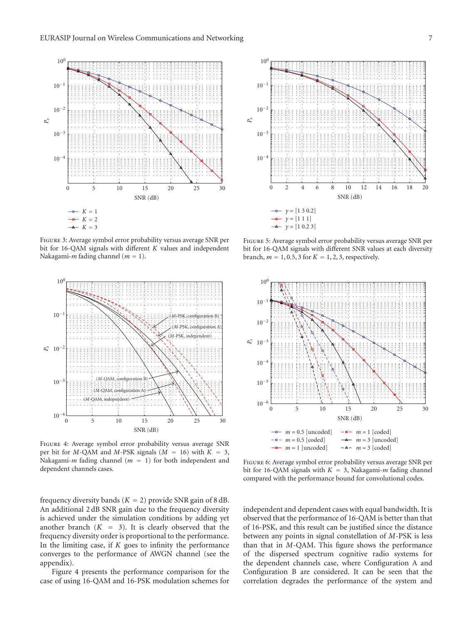

Figure 3: Average symbol error probability versus average SNR per bit for 16-QAM signals with different *K* values and independent Nakagami-*m* fading channel (*m* = 1).



Figure 4: Average symbol error probability versus average SNR per bit for *M*-QAM and *M*-PSK signals ( $M = 16$ ) with  $K = 3$ , Nakagami-*m* fading channel (*m* = 1) for both independent and dependent channels cases.

frequency diversity bands  $(K = 2)$  provide SNR gain of 8 dB. An additional 2 dB SNR gain due to the frequency diversity is achieved under the simulation conditions by adding yet another branch  $(K = 3)$ . It is clearly observed that the frequency diversity order is proportional to the performance. In the limiting case, if *K* goes to infinity the performance converges to the performance of AWGN channel (see the appendix).

Figure 4 presents the performance comparison for the case of using 16-QAM and 16-PSK modulation schemes for



Figure 5: Average symbol error probability versus average SNR per bit for 16-QAM signals with different SNR values at each diversity branch,  $m = 1, 0.5, 3$  for  $K = 1, 2, 3$ , respectively.



Figure 6: Average symbol error probability versus average SNR per bit for 16-QAM signals with  $K = 3$ , Nakagami-*m* fading channel compared with the performance bound for convolutional codes.

independent and dependent cases with equal bandwidth. It is observed that the performance of 16-QAM is better than that of 16-PSK, and this result can be justified since the distance between any points in signal constellation of *M*-PSK is less than that in *M*-QAM. This figure shows the performance of the dispersed spectrum cognitive radio systems for the dependent channels case, where Configuration A and Configuration B are considered. It can be seen that the correlation degrades the performance of the system and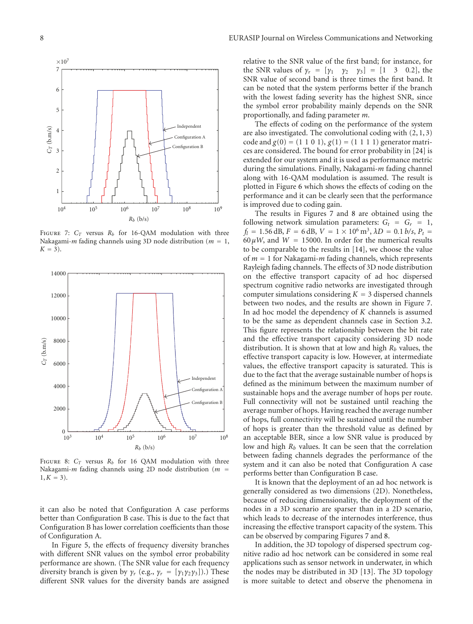

FIGURE 7:  $C_T$  versus  $R_b$  for 16-QAM modulation with three Nakagami-*m* fading channels using 3D node distribution (*m* = 1,  $K = 3$ ).



FIGURE 8:  $C_T$  versus  $R_b$  for 16 QAM modulation with three Nakagami-*m* fading channels using 2D node distribution (*m* =  $1, K = 3$ .

it can also be noted that Configuration A case performs better than Configuration B case. This is due to the fact that Configuration B has lower correlation coefficients than those of Configuration A.

In Figure 5, the effects of frequency diversity branches with different SNR values on the symbol error probability performance are shown. (The SNR value for each frequency diversity branch is given by  $\gamma_r$  (e.g.,  $\gamma_r = [\gamma_1 \gamma_2 \gamma_3]$ ).) These different SNR values for the diversity bands are assigned

relative to the SNR value of the first band; for instance, for the SNR values of  $\gamma_r = [\gamma_1 \ \gamma_2 \ \gamma_3] = [1 \ 3 \ 0.2]$ , the SNR value of second band is three times the first band. It can be noted that the system performs better if the branch with the lowest fading severity has the highest SNR, since the symbol error probability mainly depends on the SNR proportionally, and fading parameter *m*.

The effects of coding on the performance of the system are also investigated. The convolutional coding with (2, 1, 3) code and  $g(0) = (1 \ 1 \ 0 \ 1), g(1) = (1 \ 1 \ 1 \ 1)$  generator matrices are considered. The bound for error probability in [24] is extended for our system and it is used as performance metric during the simulations. Finally, Nakagami-*m* fading channel along with 16-QAM modulation is assumed. The result is plotted in Figure 6 which shows the effects of coding on the performance and it can be clearly seen that the performance is improved due to coding gain.

The results in Figures 7 and 8 are obtained using the following network simulation parameters:  $G_t = G_r = 1$ ,  $f_l = 1.56$  dB,  $F = 6$  dB,  $V = 1 \times 10^6$  m<sup>3</sup>,  $\lambda D = 0.1$  b/s,  $P_t =$ 60  $\mu$ *W*, and *W* = 15000. In order for the numerical results to be comparable to the results in [14], we choose the value of *m* = 1 for Nakagami-*m* fading channels, which represents Rayleigh fading channels. The effects of 3D node distribution on the effective transport capacity of ad hoc dispersed spectrum cognitive radio networks are investigated through computer simulations considering  $K = 3$  dispersed channels between two nodes, and the results are shown in Figure 7. In ad hoc model the dependency of *K* channels is assumed to be the same as dependent channels case in Section 3.2. This figure represents the relationship between the bit rate and the effective transport capacity considering 3D node distribution. It is shown that at low and high *Rb* values, the effective transport capacity is low. However, at intermediate values, the effective transport capacity is saturated. This is due to the fact that the average sustainable number of hops is defined as the minimum between the maximum number of sustainable hops and the average number of hops per route. Full connectivity will not be sustained until reaching the average number of hops. Having reached the average number of hops, full connectivity will be sustained until the number of hops is greater than the threshold value as defined by an acceptable BER, since a low SNR value is produced by low and high *Rb* values. It can be seen that the correlation between fading channels degrades the performance of the system and it can also be noted that Configuration A case performs better than Configuration B case.

It is known that the deployment of an ad hoc network is generally considered as two dimensions (2D). Nonetheless, because of reducing dimensionality, the deployment of the nodes in a 3D scenario are sparser than in a 2D scenario, which leads to decrease of the internodes interference, thus increasing the effective transport capacity of the system. This can be observed by comparing Figures 7 and 8.

In addition, the 3D topology of dispersed spectrum cognitive radio ad hoc network can be considered in some real applications such as sensor network in underwater, in which the nodes may be distributed in 3D [13]. The 3D topology is more suitable to detect and observe the phenomena in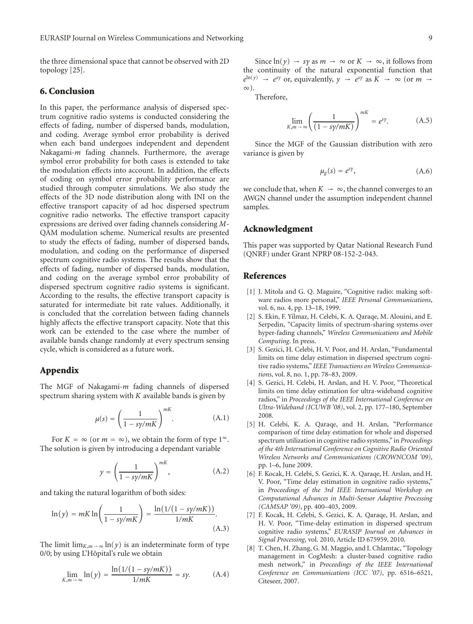the three dimensional space that cannot be observed with 2D topology [25].

# **6. Conclusion**

In this paper, the performance analysis of dispersed spectrum cognitive radio systems is conducted considering the effects of fading, number of dispersed bands, modulation, and coding. Average symbol error probability is derived when each band undergoes independent and dependent Nakagami-*m* fading channels. Furthermore, the average symbol error probability for both cases is extended to take the modulation effects into account. In addition, the effects of coding on symbol error probability performance are studied through computer simulations. We also study the effects of the 3D node distribution along with INI on the effective transport capacity of ad hoc dispersed spectrum cognitive radio networks. The effective transport capacity expressions are derived over fading channels considering *M*-QAM modulation scheme. Numerical results are presented to study the effects of fading, number of dispersed bands, modulation, and coding on the performance of dispersed spectrum cognitive radio systems. The results show that the effects of fading, number of dispersed bands, modulation, and coding on the average symbol error probability of dispersed spectrum cognitive radio systems is significant. According to the results, the effective transport capacity is saturated for intermediate bit rate values. Additionally, it is concluded that the correlation between fading channels highly affects the effective transport capacity. Note that this work can be extended to the case where the number of available bands change randomly at every spectrum sensing cycle, which is considered as a future work.

# **Appendix**

The MGF of Nakagami-*m* fading channels of dispersed spectrum sharing system with *K* available bands is given by

$$
\mu(s) = \left(\frac{1}{1 - s\gamma/mK}\right)^{mK}.\tag{A.1}
$$

For  $K = \infty$  (or  $m = \infty$ ), we obtain the form of type  $1^{\infty}$ . The solution is given by introducing a dependant variable

$$
y = \left(\frac{1}{1 - s\gamma/mK}\right)^{mK},\tag{A.2}
$$

and taking the natural logarithm of both sides:

$$
\ln(y) = mK \ln\left(\frac{1}{1 - s\gamma/mK}\right) = \frac{\ln(1/(1 - s\gamma/mK))}{1/mK}.
$$
\n(A.3)

The limit  $\lim_{K,m \to \infty} \ln(y)$  is an indeterminate form of type 0/0; by using L'Hôpital's rule we obtain

$$
\lim_{K,m \to \infty} \ln(y) = \frac{\ln(1/(1 - s\gamma/mK))}{1/mK} = sy.
$$
 (A.4)

Since  $ln(y) \rightarrow sy$  as  $m \rightarrow \infty$  or  $K \rightarrow \infty$ , it follows from the continuity of the natural exponential function that  $e^{\ln(y)} \rightarrow e^{sy}$  or, equivalently,  $y \rightarrow e^{sy}$  as  $K \rightarrow \infty$  (or  $m \rightarrow$ ∞).

Therefore,

$$
\lim_{K,m \to \infty} \left( \frac{1}{(1 - s\gamma/mK)} \right)^{mK} = e^{sy}.
$$
 (A.5)

Since the MGF of the Gaussian distribution with zero variance is given by

$$
\mu_g(s) = e^{s\gamma},\tag{A.6}
$$

we conclude that, when  $K \to \infty$ , the channel converges to an AWGN channel under the assumption independent channel samples.

# **Acknowledgment**

This paper was supported by Qatar National Research Fund (QNRF) under Grant NPRP 08-152-2-043.

#### **References**

- [1] J. Mitola and G. Q. Maguire, "Cognitive radio: making software radios more personal," *IEEE Personal Communications*, vol. 6, no. 4, pp. 13–18, 1999.
- [2] S. Ekin, F. Yilmaz, H. Celebi, K. A. Qaraqe, M. Alouini, and E. Serpedin, "Capacity limits of spectrum-sharing systems over hyper-fading channels," *Wireless Communications and Mobile Computing*. In press.
- [3] S. Gezici, H. Celebi, H. V. Poor, and H. Arslan, "Fundamental limits on time delay estimation in dispersed spectrum cognitive radio systems," *IEEE Transactions on Wireless Communications*, vol. 8, no. 1, pp. 78–83, 2009.
- [4] S. Gezici, H. Celebi, H. Arslan, and H. V. Poor, "Theoretical limits on time delay estimation for ultra-wideband cognitive radios," in *Proceedings of the IEEE International Conference on Ultra-Wideband (ICUWB '08)*, vol. 2, pp. 177–180, September 2008.
- [5] H. Celebi, K. A. Qaraqe, and H. Arslan, "Performance comparison of time delay estimation for whole and dispersed spectrum utilization in cognitive radio systems," in *Proceedings of the 4th International Conference on Cognitive Radio Oriented Wireless Networks and Communications (CROWNCOM '09)*, pp. 1–6, June 2009.
- [6] F. Kocak, H. Celebi, S. Gezici, K. A. Qaraqe, H. Arslan, and H. V. Poor, "Time delay estimation in cognitive radio systems," in *Proceedings of the 3rd IEEE International Workshop on Computational Advances in Multi-Sensor Adaptive Processing (CAMSAP '09)*, pp. 400–403, 2009.
- [7] F. Kocak, H. Celebi, S. Gezici, K. A. Qaraqe, H. Arslan, and H. V. Poor, "Time-delay estimation in dispersed spectrum cognitive radio systems," *EURASIP Journal on Advances in Signal Processing*, vol. 2010, Article ID 675959, 2010.
- [8] T. Chen, H. Zhang, G. M. Maggio, and I. Chlamtac, "Topology management in CogMesh: a cluster-based cognitive radio mesh network," in *Proceedings of the IEEE International Conference on Communications (ICC '07)*, pp. 6516–6521, Citeseer, 2007.